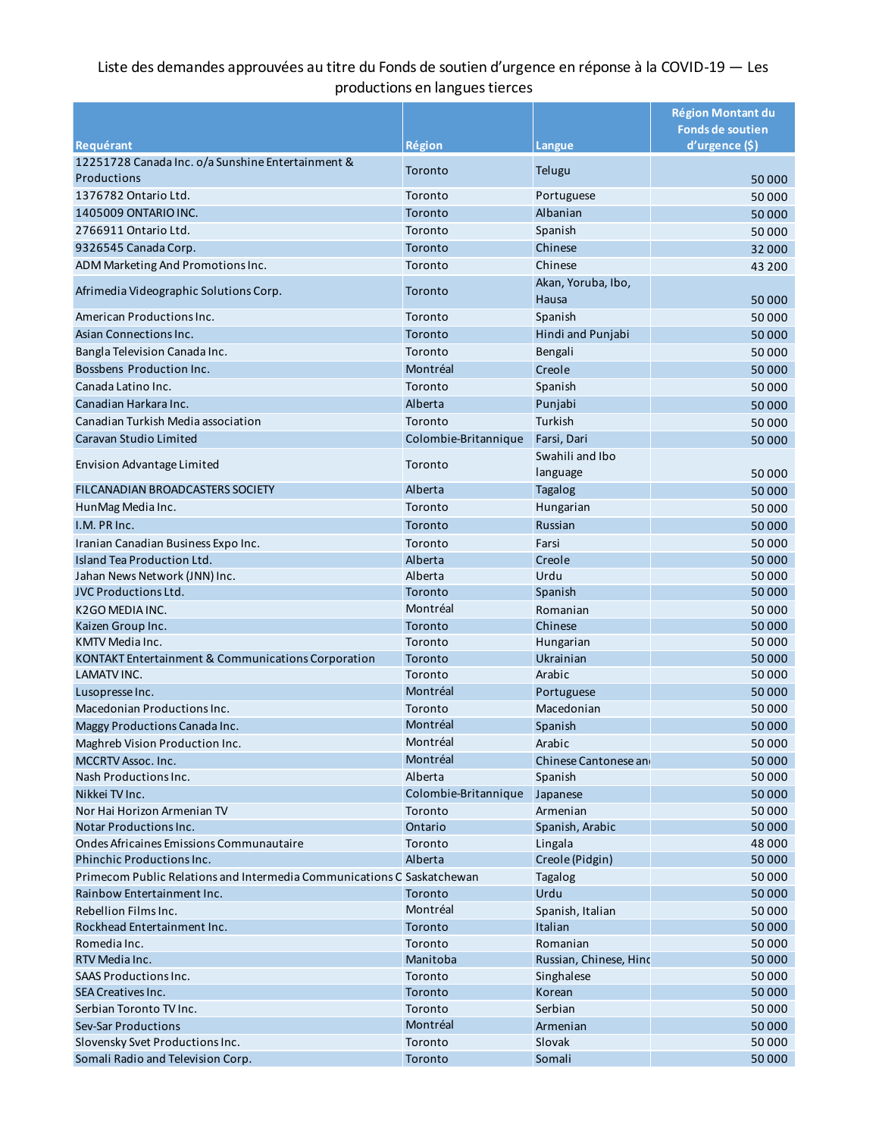## Liste des demandes approuvées au titre du Fonds de soutien d'urgence en réponse à la COVID-19 — Les productions en langues tierces

|                                                                        |                      |                             | <b>Région Montant du</b> |
|------------------------------------------------------------------------|----------------------|-----------------------------|--------------------------|
|                                                                        |                      |                             | <b>Fonds de soutien</b>  |
| Requérant                                                              | Région               | .angue                      | d'urgence (\$)           |
| 12251728 Canada Inc. o/a Sunshine Entertainment &                      | Toronto              | Telugu                      |                          |
| Productions                                                            |                      |                             | 50000                    |
| 1376782 Ontario Ltd.                                                   | Toronto              | Portuguese                  | 50 000                   |
| 1405009 ONTARIO INC.                                                   | Toronto              | Albanian                    | 50 000                   |
| 2766911 Ontario Ltd.                                                   | Toronto              | Spanish                     | 50 000                   |
| 9326545 Canada Corp.                                                   | Toronto              | Chinese                     | 32 000                   |
| ADM Marketing And Promotions Inc.                                      | Toronto              | Chinese                     | 43 200                   |
| Afrimedia Videographic Solutions Corp.                                 | Toronto              | Akan, Yoruba, Ibo,<br>Hausa | 50000                    |
| American Productions Inc.                                              | Toronto              | Spanish                     | 50 000                   |
| Asian Connections Inc.                                                 | Toronto              | Hindi and Punjabi           | 50000                    |
| Bangla Television Canada Inc.                                          | Toronto              | Bengali                     | 50000                    |
| Bossbens Production Inc.                                               | Montréal             | Creole                      | 50000                    |
| Canada Latino Inc.                                                     | Toronto              | Spanish                     | 50000                    |
| Canadian Harkara Inc.                                                  | Alberta              | Punjabi                     | 50000                    |
| Canadian Turkish Media association                                     | Toronto              | Turkish                     | 50000                    |
| Caravan Studio Limited                                                 | Colombie-Britannique | Farsi, Dari                 | 50000                    |
|                                                                        |                      | Swahili and Ibo             |                          |
| <b>Envision Advantage Limited</b>                                      | Toronto              | language                    | 50000                    |
| FILCANADIAN BROADCASTERS SOCIETY                                       | Alberta              |                             |                          |
|                                                                        |                      | <b>Tagalog</b>              | 50000                    |
| HunMag Media Inc.                                                      | Toronto              | Hungarian                   | 50000                    |
| I.M. PR Inc.                                                           | Toronto              | Russian                     | 50000                    |
| Iranian Canadian Business Expo Inc.                                    | Toronto              | Farsi                       | 50000                    |
| Island Tea Production Ltd.                                             | Alberta              | Creole                      | 50000                    |
| Jahan News Network (JNN) Inc.                                          | Alberta              | Urdu                        | 50 000                   |
| <b>JVC Productions Ltd.</b>                                            | Toronto              | Spanish                     | 50 000                   |
| K2GO MEDIA INC.                                                        | Montréal             | Romanian                    | 50000                    |
| Kaizen Group Inc.                                                      | Toronto              | Chinese                     | 50000                    |
| KMTV Media Inc.                                                        | Toronto              | Hungarian                   | 50000                    |
| KONTAKT Entertainment & Communications Corporation                     | Toronto              | Ukrainian                   | 50000                    |
| LAMATV INC.                                                            | Toronto              | Arabic                      | 50000                    |
| Lusopresse Inc.                                                        | Montréal             | Portuguese                  | 50000                    |
| Macedonian Productions Inc.                                            | Toronto              | Macedonian                  | 50000                    |
| Maggy Productions Canada Inc.                                          | Montréal             | Spanish                     | 50000                    |
| Maghreb Vision Production Inc.                                         | Montréal             | Arabic                      | 50000                    |
| MCCRTV Assoc. Inc.                                                     | Montréal             | Chinese Cantonese and       | 50 000                   |
| Nash Productions Inc.                                                  | Alberta              | Spanish                     | 50000                    |
| Nikkei TV Inc.                                                         | Colombie-Britannique | Japanese                    | 50000                    |
| Nor Hai Horizon Armenian TV                                            | Toronto              | Armenian                    | 50 000                   |
| <b>Notar Productions Inc.</b>                                          | Ontario              | Spanish, Arabic             | 50000                    |
| Ondes Africaines Emissions Communautaire                               | Toronto              | Lingala                     | 48 000                   |
| Phinchic Productions Inc.                                              | Alberta              | Creole (Pidgin)             | 50 000                   |
| Primecom Public Relations and Intermedia Communications C Saskatchewan |                      | Tagalog                     | 50 000                   |
| Rainbow Entertainment Inc.                                             | Toronto              | Urdu                        | 50000                    |
| Rebellion Films Inc.                                                   | Montréal             | Spanish, Italian            | 50000                    |
| Rockhead Entertainment Inc.                                            | Toronto              | Italian                     | 50000                    |
| Romedia Inc.                                                           | Toronto              | Romanian                    | 50000                    |
| RTV Media Inc.                                                         | Manitoba             | Russian, Chinese, Hind      | 50000                    |
| <b>SAAS Productions Inc.</b>                                           | Toronto              | Singhalese                  | 50000                    |
| SEA Creatives Inc.                                                     | Toronto              | Korean                      | 50000                    |
| Serbian Toronto TV Inc.                                                | Toronto              | Serbian                     | 50000                    |
| Sev-Sar Productions                                                    | Montréal             | Armenian                    | 50000                    |
| Slovensky Svet Productions Inc.                                        | Toronto              | Slovak                      | 50000                    |
| Somali Radio and Television Corp.                                      | Toronto              | Somali                      | 50000                    |